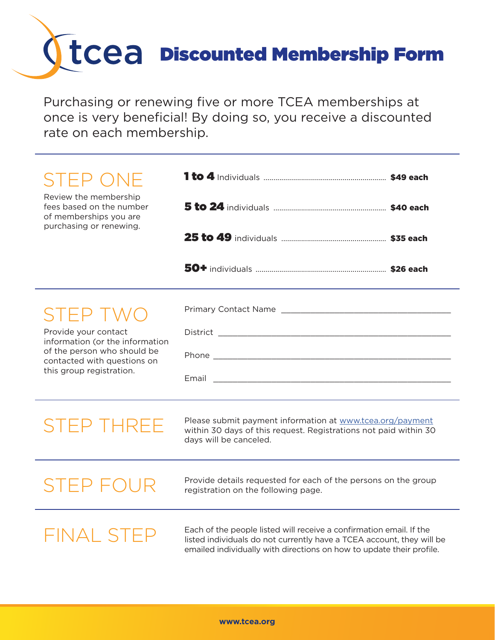## Discounted Membership Form

Purchasing or renewing five or more TCEA memberships at once is very beneficial! By doing so, you receive a discounted rate on each membership.

| <b>STEP ONE</b><br>Review the membership<br>fees based on the number<br>of memberships you are<br>purchasing or renewing.                                     |                                                                                                                                                                                                                      |  |  |  |  |
|---------------------------------------------------------------------------------------------------------------------------------------------------------------|----------------------------------------------------------------------------------------------------------------------------------------------------------------------------------------------------------------------|--|--|--|--|
|                                                                                                                                                               |                                                                                                                                                                                                                      |  |  |  |  |
|                                                                                                                                                               |                                                                                                                                                                                                                      |  |  |  |  |
| SIEP TWO<br>Provide your contact<br>information (or the information<br>of the person who should be<br>contacted with questions on<br>this group registration. |                                                                                                                                                                                                                      |  |  |  |  |
| <b>STEP THREE</b>                                                                                                                                             | Please submit payment information at www.tcea.org/payment<br>within 30 days of this request. Registrations not paid within 30<br>days will be canceled.                                                              |  |  |  |  |
| STEP FOUR                                                                                                                                                     | Provide details requested for each of the persons on the group<br>registration on the following page.                                                                                                                |  |  |  |  |
| FINAL STEP                                                                                                                                                    | Each of the people listed will receive a confirmation email. If the<br>listed individuals do not currently have a TCEA account, they will be<br>emailed individually with directions on how to update their profile. |  |  |  |  |